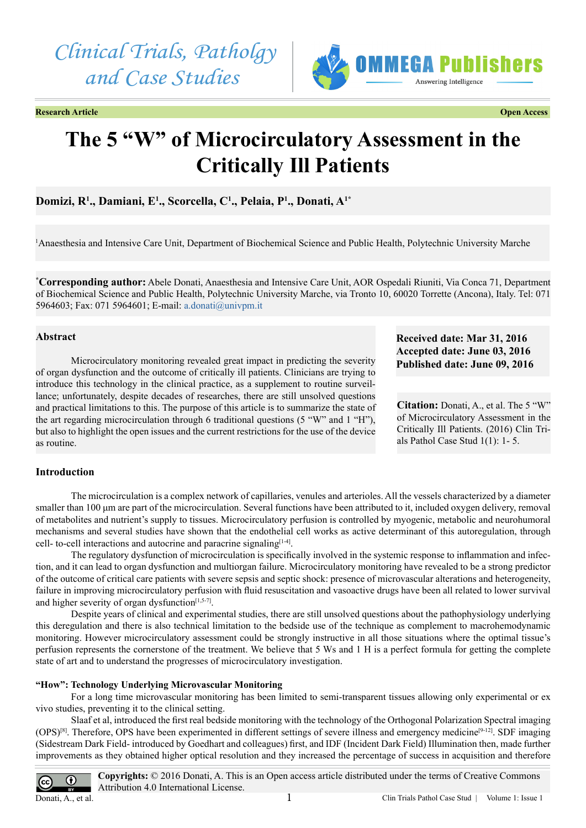



**Research Article Open Access**



# **The 5 "W" of Microcirculatory Assessment in the Critically Ill Patients**

**Domizi, R1 ., Damiani, E1 ., Scorcella, C1 ., Pelaia, P1 ., Donati, A1\***

1 Anaesthesia and Intensive Care Unit, Department of Biochemical Science and Public Health, Polytechnic University Marche

**\* Corresponding author:** Abele Donati, Anaesthesia and Intensive Care Unit, AOR Ospedali Riuniti, Via Conca 71, Department of Biochemical Science and Public Health, Polytechnic University Marche, via Tronto 10, 60020 Torrette (Ancona), Italy. Tel: 071 5964603; Fax: 071 5964601; E-mail: [a.donati@univpm.it](mailto:a.donati%40univpm.it?subject=)

## **Abstract**

Microcirculatory monitoring revealed great impact in predicting the severity of organ dysfunction and the outcome of critically ill patients. Clinicians are trying to introduce this technology in the clinical practice, as a supplement to routine surveillance; unfortunately, despite decades of researches, there are still unsolved questions and practical limitations to this. The purpose of this article is to summarize the state of the art regarding microcirculation through 6 traditional questions (5 "W" and 1 "H"), but also to highlight the open issues and the current restrictions for the use of the device as routine.

# **Received date: Mar 31, 2016 Accepted date: June 03, 2016 Published date: June 09, 2016**

**Citation:** Donati, A., et al. The 5 "W" of Microcirculatory Assessment in the Critically Ill Patients. (2016) Clin Trials Pathol Case Stud 1(1): 1- 5.

## **Introduction**

The microcirculation is a complex network of capillaries, venules and arterioles. All the vessels characterized by a diameter smaller than 100 um are part of the microcirculation. Several functions have been attributed to it, included oxygen delivery, removal of metabolites and nutrient's supply to tissues. Microcirculatory perfusion is controlled by myogenic, metabolic and neurohumoral mechanisms and several studies have shown that the endothelial cell works as active determinant of this autoregulation, through cell- to-cell interactions and autocrine and paracrine signaling $[1-4]$ .

The regulatory dysfunction of microcirculation is specifically involved in the systemic response to inflammation and infection, and it can lead to organ dysfunction and multiorgan failure. Microcirculatory monitoring have revealed to be a strong predictor of the outcome of critical care patients with severe sepsis and septic shock: presence of microvascular alterations and heterogeneity, failure in improving microcirculatory perfusion with fluid resuscitation and vasoactive drugs have been all related to lower survival and higher severity of organ dysfunction $[1,5-7]$ .

Despite years of clinical and experimental studies, there are still unsolved questions about the pathophysiology underlying this deregulation and there is also technical limitation to the bedside use of the technique as complement to macrohemodynamic monitoring. However microcirculatory assessment could be strongly instructive in all those situations where the optimal tissue's perfusion represents the cornerstone of the treatment. We believe that 5 Ws and 1 H is a perfect formula for getting the complete state of art and to understand the progresses of microcirculatory investigation.

## **"How": Technology Underlying Microvascular Monitoring**

For a long time microvascular monitoring has been limited to semi-transparent tissues allowing only experimental or ex vivo studies, preventing it to the clinical setting.

Slaaf et al, introduced the first real bedside monitoring with the technology of the Orthogonal Polarization Spectral imaging  $(OPS)^{[8]}$ . Therefore, OPS have been experimented in different settings of severe illness and emergency medicine<sup>[9-12]</sup>. SDF imaging (Sidestream Dark Field- introduced by Goedhart and colleagues) first, and IDF (Incident Dark Field) Illumination then, made further improvements as they obtained higher optical resolution and they increased the percentage of success in acquisition and therefore

**Copyrights:** © 2016 Donati, A. This is an Open access article distributed under the terms of Creative Commons О Attribution 4.0 International License. Donati, A., et al.1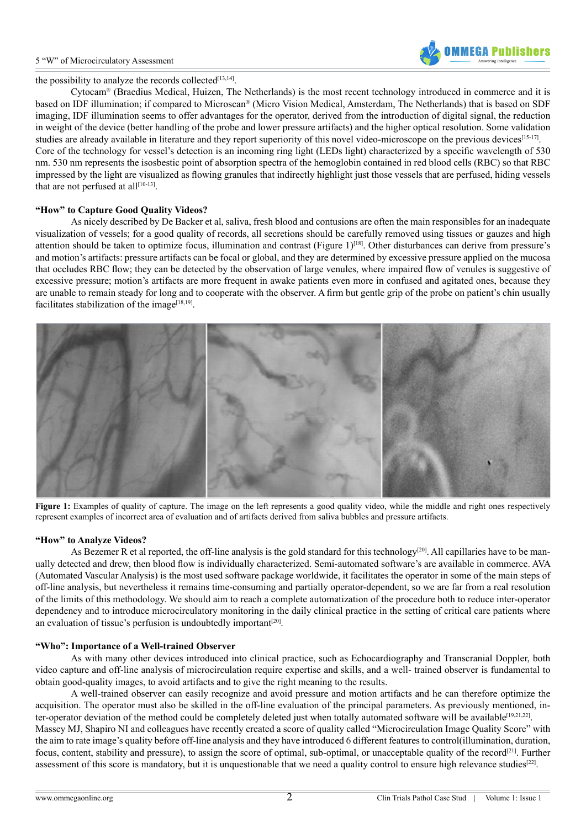#### 5 "W" of Microcirculatory Assessment



the possibility to analyze the records collected $[13,14]$ .

Cytocam® (Braedius Medical, Huizen, The Netherlands) is the most recent technology introduced in commerce and it is based on IDF illumination; if compared to Microscan® (Micro Vision Medical, Amsterdam, The Netherlands) that is based on SDF imaging, IDF illumination seems to offer advantages for the operator, derived from the introduction of digital signal, the reduction in weight of the device (better handling of the probe and lower pressure artifacts) and the higher optical resolution. Some validation studies are already available in literature and they report superiority of this novel video-microscope on the previous device[s\[15-17\]](#page-3-4). Core of the technology for vessel's detection is an incoming ring light (LEDs light) characterized by a specific wavelength of 530 nm. 530 nm represents the isosbestic point of absorption spectra of the hemoglobin contained in red blood cells (RBC) so that RBC impressed by the light are visualized as flowing granules that indirectly highlight just those vessels that are perfused, hiding vessels that are not perfused at all $[10-13]$ .

## **"How" to Capture Good Quality Videos?**

As nicely described by De Backer et al, saliva, fresh blood and contusions are often the main responsibles for an inadequate visualization of vessels; for a good quality of records, all secretions should be carefully removed using tissues or gauzes and high attention should be taken to optimize focus, illumination and contrast (Figure  $1$ )<sup>[18]</sup>. Other disturbances can derive from pressure's and motion's artifacts: pressure artifacts can be focal or global, and they are determined by excessive pressure applied on the mucosa that occludes RBC flow; they can be detected by the observation of large venules, where impaired flow of venules is suggestive of excessive pressure; motion's artifacts are more frequent in awake patients even more in confused and agitated ones, because they are unable to remain steady for long and to cooperate with the observer. A firm but gentle grip of the probe on patient's chin usually facilitates stabilization of the image<sup>[18,19]</sup>.



Figure 1: Examples of quality of capture. The image on the left represents a good quality video, while the middle and right ones respectively represent examples of incorrect area of evaluation and of artifacts derived from saliva bubbles and pressure artifacts.

#### **"How" to Analyze Videos?**

As Bezemer R et al reported, the off-line analysis is the gold standard for this technology<sup>[20]</sup>. All capillaries have to be manually detected and drew, then blood flow is individually characterized. Semi-automated software's are available in commerce. AVA (Automated Vascular Analysis) is the most used software package worldwide, it facilitates the operator in some of the main steps of off-line analysis, but nevertheless it remains time-consuming and partially operator-dependent, so we are far from a real resolution of the limits of this methodology. We should aim to reach a complete automatization of the procedure both to reduce inter-operator dependency and to introduce microcirculatory monitoring in the daily clinical practice in the setting of critical care patients where an evaluation of tissue's perfusion is undoubtedly important<sup>[\[20\]](#page-3-7)</sup>.

#### **"Who": Importance of a Well-trained Observer**

As with many other devices introduced into clinical practice, such as Echocardiography and Transcranial Doppler, both video capture and off-line analysis of microcirculation require expertise and skills, and a well- trained observer is fundamental to obtain good-quality images, to avoid artifacts and to give the right meaning to the results.

A well-trained observer can easily recognize and avoid pressure and motion artifacts and he can therefore optimize the acquisition. The operator must also be skilled in the off-line evaluation of the principal parameters. As previously mentioned, inter-operator deviation of the method could be completely deleted just when totally automated software will be available<sup>[19,21,22]</sup>. Massey MJ, Shapiro NI and colleagues have recently created a score of quality called "Microcirculation Image Quality Score" with the aim to rate image's quality before off-line analysis and they have introduced 6 different features to control(illumination, duration, focus, content, stability and pressure), to assign the score of optimal, sub-optimal, or unacceptable quality of the record<sup>[21]</sup>. Further assessment of this score is mandatory, but it is unquestionable that we need a quality control to ensure high relevance studies<sup>[22]</sup>.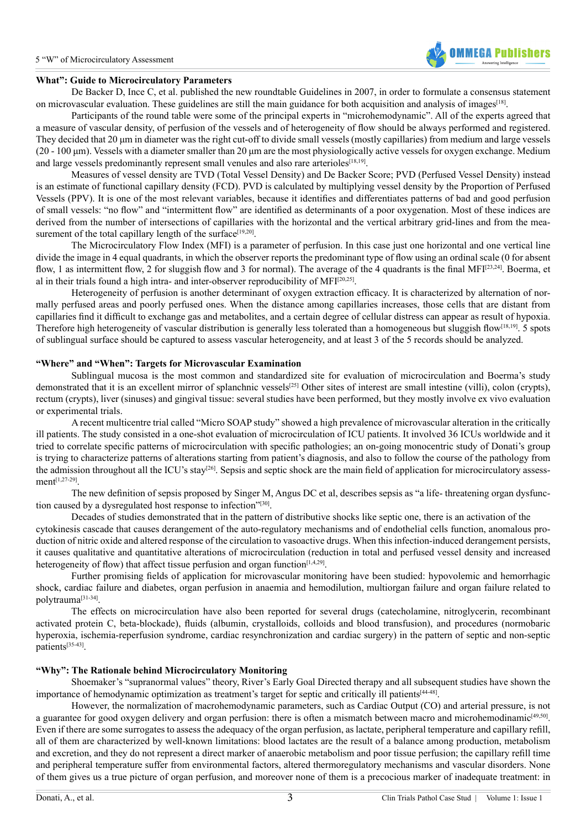## **What": Guide to Microcirculatory Parameters**

De Backer D, Ince C, et al. published the new roundtable Guidelines in 2007, in order to formulate a consensus statement on microvascular evaluation. These guidelines are still the main guidance for both acquisition and analysis of image[s\[18\].](#page-3-6)

Participants of the round table were some of the principal experts in "microhemodynamic". All of the experts agreed that a measure of vascular density, of perfusion of the vessels and of heterogeneity of flow should be always performed and registered. They decided that 20 μm in diameter was the right cut-off to divide small vessels (mostly capillaries) from medium and large vessels  $(20 - 100 \,\mu m)$ . Vessels with a diameter smaller than 20  $\mu$ m are the most physiologically active vessels for oxygen exchange. Medium and large vessels predominantly represent small venules and also rare arterioles $[18,19]$ .

Measures of vessel density are TVD (Total Vessel Density) and De Backer Score; PVD (Perfused Vessel Density) instead is an estimate of functional capillary density (FCD). PVD is calculated by multiplying vessel density by the Proportion of Perfused Vessels (PPV). It is one of the most relevant variables, because it identifies and differentiates patterns of bad and good perfusion of small vessels: "no flow" and "intermittent flow" are identified as determinants of a poor oxygenation. Most of these indices are derived from the number of intersections of capillaries with the horizontal and the vertical arbitrary grid-lines and from the measurement of the total capillary length of the surface<sup>[19,20]</sup>.

The Microcirculatory Flow Index (MFI) is a parameter of perfusion. In this case just one horizontal and one vertical line divide the image in 4 equal quadrants, in which the observer reports the predominant type of flow using an ordinal scale (0 for absent flow, 1 as intermittent flow, 2 for sluggish flow and 3 for normal). The average of the 4 quadrants is the final MFI<sup>[\[23,24\]](#page-3-11)</sup>. Boerma, et al in their trials found a high intra- and inter-observer reproducibility of MFI[\[20,25\].](#page-3-7)

Heterogeneity of perfusion is another determinant of oxygen extraction efficacy. It is characterized by alternation of normally perfused areas and poorly perfused ones. When the distance among capillaries increases, those cells that are distant from capillaries find it difficult to exchange gas and metabolites, and a certain degree of cellular distress can appear as result of hypoxia. Therefore high heterogeneity of vascular distribution is generally less tolerated than a homogeneous but sluggish flow<sup>[\[18,19\]](#page-3-6)</sup>. 5 spots of sublingual surface should be captured to assess vascular heterogeneity, and at least 3 of the 5 records should be analyzed.

## **"Where" and "When": Targets for Microvascular Examination**

Sublingual mucosa is the most common and standardized site for evaluation of microcirculation and Boerma's study demonstrated that it is an excellent mirror of splanchnic vessels<sup>[25]</sup> Other sites of interest are small intestine (villi), colon (crypts), rectum (crypts), liver (sinuses) and gingival tissue: several studies have been performed, but they mostly involve ex vivo evaluation or experimental trials.

A recent multicentre trial called "Micro SOAP study" showed a high prevalence of microvascular alteration in the critically ill patients. The study consisted in a one-shot evaluation of microcirculation of ICU patients. It involved 36 ICUs worldwide and it tried to correlate specific patterns of microcirculation with specific pathologies; an on-going monocentric study of Donati's group is trying to characterize patterns of alterations starting from patient's diagnosis, and also to follow the course of the pathology from the admission throughout all the ICU's stay<sup>[26]</sup>. Sepsis and septic shock are the main field of application for microcirculatory assessment[\[1,27-29\]](#page-3-0).

The new definition of sepsis proposed by Singer M, Angus DC et al, describes sepsis as "a life- threatening organ dysfunction caused by a dysregulated host response to infection["\[30\].](#page-4-0)

Decades of studies demonstrated that in the pattern of distributive shocks like septic one, there is an activation of the cytokinesis cascade that causes derangement of the auto-regulatory mechanisms and of endothelial cells function, anomalous production of nitric oxide and altered response of the circulation to vasoactive drugs. When this infection-induced derangement persists, it causes qualitative and quantitative alterations of microcirculation (reduction in total and perfused vessel density and increased heterogeneity of flow) that affect tissue perfusion and organ function<sup>[1,4,29]</sup>.

Further promising fields of application for microvascular monitoring have been studied: hypovolemic and hemorrhagic shock, cardiac failure and diabetes, organ perfusion in anaemia and hemodilution, multiorgan failure and organ failure related to polytraum[a\[31-34\].](#page-4-1)

The effects on microcirculation have also been reported for several drugs (catecholamine, nitroglycerin, recombinant activated protein C, beta-blockade), fluids (albumin, crystalloids, colloids and blood transfusion), and procedures (normobaric hyperoxia, ischemia-reperfusion syndrome, cardiac resynchronization and cardiac surgery) in the pattern of septic and non-septic patients<sup>[\[35-43\]](#page-4-2)</sup>.

## **"Why": The Rationale behind Microcirculatory Monitoring**

Shoemaker's "supranormal values" theory, River's Early Goal Directed therapy and all subsequent studies have shown the importance of hemodynamic optimization as treatment's target for septic and critically ill patients[\[44-48\]](#page-4-3).

However, the normalization of macrohemodynamic parameters, such as Cardiac Output (CO) and arterial pressure, is not a guarantee for good oxygen delivery and organ perfusion: there is often a mismatch between macro and microhemodinamic<sup>[49,50]</sup>. Even if there are some surrogates to assess the adequacy of the organ perfusion, as lactate, peripheral temperature and capillary refill, all of them are characterized by well-known limitations: blood lactates are the result of a balance among production, metabolism and excretion, and they do not represent a direct marker of anaerobic metabolism and poor tissue perfusion; the capillary refill time and peripheral temperature suffer from environmental factors, altered thermoregulatory mechanisms and vascular disorders. None of them gives us a true picture of organ perfusion, and moreover none of them is a precocious marker of inadequate treatment: in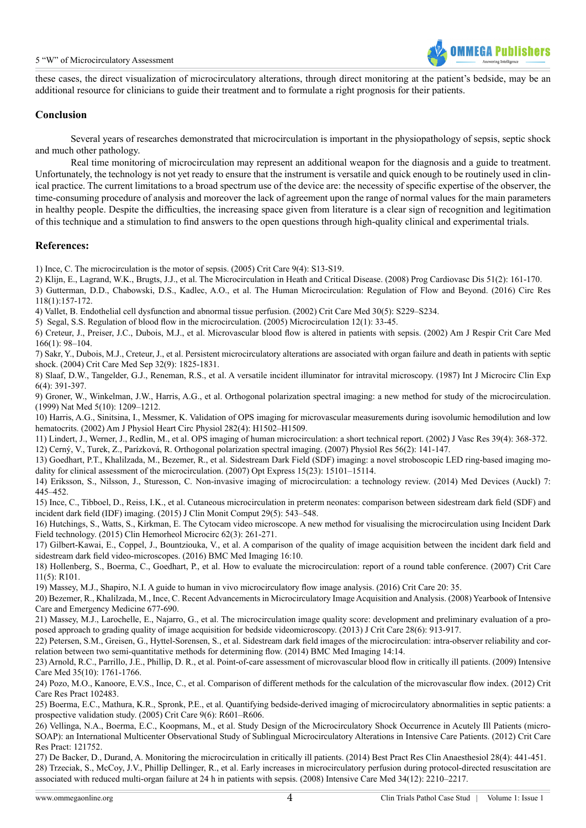

these cases, the direct visualization of microcirculatory alterations, through direct monitoring at the patient's bedside, may be an additional resource for clinicians to guide their treatment and to formulate a right prognosis for their patients.

# **Conclusion**

Several years of researches demonstrated that microcirculation is important in the physiopathology of sepsis, septic shock and much other pathology.

Real time monitoring of microcirculation may represent an additional weapon for the diagnosis and a guide to treatment. Unfortunately, the technology is not yet ready to ensure that the instrument is versatile and quick enough to be routinely used in clinical practice. The current limitations to a broad spectrum use of the device are: the necessity of specific expertise of the observer, the time-consuming procedure of analysis and moreover the lack of agreement upon the range of normal values for the main parameters in healthy people. Despite the difficulties, the increasing space given from literature is a clear sign of recognition and legitimation of this technique and a stimulation to find answers to the open questions through high-quality clinical and experimental trials.

## **References:**

<span id="page-3-0"></span>1) [Ince, C. The microcirculation is the motor of sepsis. \(2005\) Crit Care 9\(4\): S13-S19.](http://www.ncbi.nlm.nih.gov/pubmed/16168069) 

2) [Klijn, E., Lagrand, W.K., Brugts, J.J., et al. The Microcirculation in Heath and Critical Disease. \(2008\) Prog Cardiovasc Dis 51\(2\): 161-170.](http://www.ncbi.nlm.nih.gov/pubmed/18774014)

3) [Gutterman, D.D., Chabowski, D.S., Kadlec, A.O., et al. The Human Microcirculation: Regulation of Flow and Beyond. \(2016\) Circ Res](http://www.ncbi.nlm.nih.gov/pubmed/26837746)  [118\(1\):157-172.](http://www.ncbi.nlm.nih.gov/pubmed/26837746)

4) [Vallet, B. Endothelial cell dysfunction and abnormal tissue perfusion. \(2002\) Crit Care Med 30\(5\): S229–S234](http://www.ncbi.nlm.nih.gov/pubmed/12004241).

5) [Segal, S.S. Regulation of blood flow in the microcirculation. \(2005\) Microcirculation 12\(1\): 33-45.](http://www.ncbi.nlm.nih.gov/pubmed/15804972) 

6) [Creteur, J., Preiser, J.C., Dubois, M.J., et al. Microvascular blood flow is altered in patients with sepsis. \(2002\) Am J Respir Crit Care Med](http://www.ncbi.nlm.nih.gov/pubmed/12091178)  [166\(1\): 98–104.](http://www.ncbi.nlm.nih.gov/pubmed/12091178)

7) [Sakr, Y., Dubois, M.J., Creteur, J., et al. Persistent microcirculatory alterations are associated with organ failure and death in patients with septic](http://www.ncbi.nlm.nih.gov/pubmed/15343008)  [shock. \(2004\) Crit Care Med Sep 32\(9\): 1825-1831.](http://www.ncbi.nlm.nih.gov/pubmed/15343008)

<span id="page-3-1"></span>8) [Slaaf, D.W., Tangelder, G.J., Reneman, R.S., et al. A versatile incident illuminator for intravital microscopy. \(1987\) Int J Microcirc Clin Exp](http://www.ncbi.nlm.nih.gov/pubmed/3429145)  [6\(4\): 391-397.](http://www.ncbi.nlm.nih.gov/pubmed/3429145)

<span id="page-3-2"></span>9) [Groner, W., Winkelman, J.W., Harris, A.G., et al. Orthogonal polarization spectral imaging: a new method for study of the microcirculation.](http://www.ncbi.nlm.nih.gov/pubmed/10502828)  [\(1999\) Nat Med 5\(10\): 1209–1212.](http://www.ncbi.nlm.nih.gov/pubmed/10502828)

<span id="page-3-5"></span>10) [Harris, A.G., Sinitsina, I., Messmer, K. Validation of OPS imaging for microvascular measurements during isovolumic hemodilution and low](http://www.ncbi.nlm.nih.gov/pubmed/11893588)  [hematocrits. \(2002\) Am J Physiol Heart Circ Physiol 282\(4\): H1502–H1509.](http://www.ncbi.nlm.nih.gov/pubmed/11893588)

11) [Lindert, J., Werner, J., Redlin, M., et al. OPS imaging of human microcirculation: a short technical report. \(2002\) J Vasc Res 39\(4\): 368-372.](http://www.ncbi.nlm.nih.gov/pubmed/12187127) 12) [Cerný, V., Turek, Z., Parízková, R. Orthogonal polarization spectral imaging. \(2007\) Physiol Res 56\(2\): 141-147.](http://www.ncbi.nlm.nih.gov/pubmed/16555953)

<span id="page-3-3"></span>13) [Goedhart, P.T., Khalilzada, M., Bezemer, R., et al. Sidestream Dark Field \(SDF\) imaging: a novel stroboscopic LED ring-based imaging mo](http://www.ncbi.nlm.nih.gov/pubmed/19550794)[dality for clinical assessment of the microcirculation. \(2007\) Opt Express 15\(23\): 15101–15114.](http://www.ncbi.nlm.nih.gov/pubmed/19550794)

14) [Eriksson, S., Nilsson, J., Sturesson, C. Non-invasive imaging of microcirculation: a technology review. \(2014\) Med Devices \(Auckl\) 7:](http://www.ncbi.nlm.nih.gov/pubmed/25525397)  [445–452.](http://www.ncbi.nlm.nih.gov/pubmed/25525397)

<span id="page-3-4"></span>15) [Ince, C., Tibboel, D., Reiss, I.K., et al. Cutaneous microcirculation in preterm neonates: comparison between sidestream dark field \(SDF\) and](http://www.ncbi.nlm.nih.gov/pubmed/26021740)  [incident dark field \(IDF\) imaging. \(2015\) J Clin Monit Comput 29\(5\): 543–548.](http://www.ncbi.nlm.nih.gov/pubmed/26021740)

16) [Hutchings, S., Watts, S., Kirkman, E. The Cytocam video microscope. A new method for visualising the microcirculation using Incident Dark](http://www.ncbi.nlm.nih.gov/pubmed/26484715)  [Field technology. \(2015\) Clin Hemorheol Microcirc 62\(3\): 261-271.](http://www.ncbi.nlm.nih.gov/pubmed/26484715)

17) [Gilbert-Kawai, E., Coppel, J., Bountziouka, V., et al. A comparison of the quality of image acquisition between the incident dark field and](http://www.ncbi.nlm.nih.gov/pubmed/26797680)  [sidestream dark field video-microscopes. \(2016\) BMC Med Imaging 16:10.](http://www.ncbi.nlm.nih.gov/pubmed/26797680)

<span id="page-3-6"></span>18) [Hollenberg, S., Boerma, C., Goedhart, P., et al. How to evaluate the microcirculation: report of a round table conference. \(2007\) Crit Care](http://www.ncbi.nlm.nih.gov/pubmed/17845716)  [11\(5\): R101.](http://www.ncbi.nlm.nih.gov/pubmed/17845716)

<span id="page-3-8"></span>19) [Massey, M.J., Shapiro, N.I. A guide to human in vivo microcirculatory flow image analysis. \(2016\) Crit Care 20: 35.](http://www.ncbi.nlm.nih.gov/pubmed/26861691)

<span id="page-3-7"></span>20) [Bezemer, R., Khalilzada, M., Ince, C. Recent Advancements in Microcirculatory Image Acquisition and Analysis. \(2008\) Yearbook of Intensive](http://link.springer.com/chapter/10.1007%2F978-3-540-77290-3_63)  [Care and Emergency Medicine 677-690.](http://link.springer.com/chapter/10.1007%2F978-3-540-77290-3_63)

<span id="page-3-9"></span>21) [Massey, M.J., Larochelle, E., Najarro, G., et al. The microcirculation image quality score: development and preliminary evaluation of a pro](http://www.ncbi.nlm.nih.gov/pubmed/23972316)[posed approach to grading quality of image acquisition for bedside videomicroscopy. \(2013\) J Crit Care 28\(6\): 913-917.](http://www.ncbi.nlm.nih.gov/pubmed/23972316) 

<span id="page-3-10"></span>22) [Petersen, S.M., Greisen, G., Hyttel-Sorensen, S., et al. Sidestream dark field images of the microcirculation: intra-observer reliability and cor](http://www.ncbi.nlm.nih.gov/pubmed/24885423)[relation between two semi-quantitative methods for determining flow. \(2014\) BMC Med Imaging 14:14.](http://www.ncbi.nlm.nih.gov/pubmed/24885423)

<span id="page-3-11"></span>23) [Arnold, R.C., Parrillo, J.E., Phillip, D. R., et al. Point-of-care assessment of microvascular blood flow in critically ill patients. \(2009\) Intensive](http://www.ncbi.nlm.nih.gov/pubmed/19554307)  [Care Med 35\(10\): 1761-1766.](http://www.ncbi.nlm.nih.gov/pubmed/19554307)

24) [Pozo, M.O., Kanoore, E.V.S., Ince, C., et al. Comparison of different methods for the calculation of the microvascular flow index. \(2012\) Crit](http://www.ncbi.nlm.nih.gov/pubmed/22593824)  [Care Res Pract 102483.](http://www.ncbi.nlm.nih.gov/pubmed/22593824)

<span id="page-3-12"></span>25) [Boerma, E.C., Mathura, K.R., Spronk, P.E., et al. Quantifying bedside-derived imaging of microcirculatory abnormalities in septic patients: a](http://www.ncbi.nlm.nih.gov/pubmed/16280059)  [prospective validation study. \(2005\) Crit Care 9\(6\): R601–R606.](http://www.ncbi.nlm.nih.gov/pubmed/16280059)

<span id="page-3-13"></span>26) [Vellinga, N.A., Boerma, E.C., Koopmans, M., et al. Study Design of the Microcirculatory Shock Occurrence in Acutely Ill Patients \(micro-](http://www.hindawi.com/journals/ccrp/2012/121752/)[SOAP\): an International Multicenter Observational Study of Sublingual Microcirculatory Alterations in Intensive Care Patients. \(2012\) Crit Care](http://www.hindawi.com/journals/ccrp/2012/121752/)  [Res Pract: 121752.](http://www.hindawi.com/journals/ccrp/2012/121752/)

27) [De Backer, D., Durand, A. Monitoring the microcirculation in critically ill patients. \(2014\) Best Pract Res Clin Anaesthesiol 28\(4\): 441-451.](http://www.ncbi.nlm.nih.gov/pubmed/25480773) 28) [Trzeciak, S., McCoy, J.V., Phillip Dellinger, R., et al. Early increases in microcirculatory perfusion during protocol-directed resuscitation are](http://www.ncbi.nlm.nih.gov/pubmed/18594793)  [associated with reduced multi-organ failure at 24 h in patients with sepsis. \(2008\) Intensive Care Med 34\(12\): 2210–2217.](http://www.ncbi.nlm.nih.gov/pubmed/18594793)